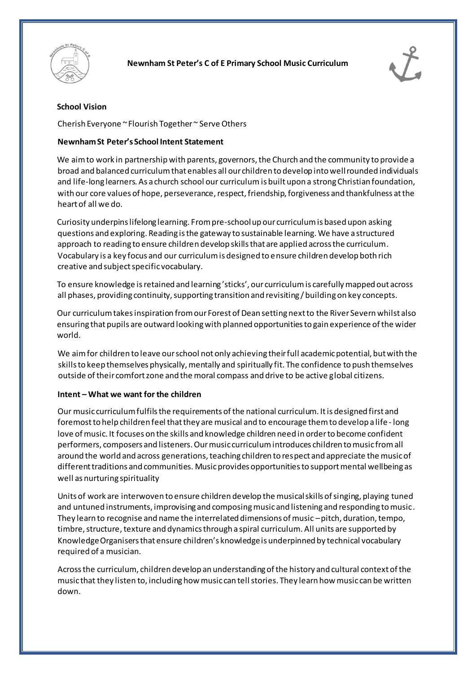



# **School Vision**

Cherish Everyone ~ Flourish Together ~ Serve Others

# **Newnham St Peter's School Intent Statement**

We aim to work in partnership with parents, governors, the Church and the community to provide a broad and balanced curriculum that enables all our children to develop into well rounded individuals and life-long learners. As a church school our curriculum is built upon a strong Christian foundation, with our core values of hope, perseverance, respect, friendship, forgiveness and thankfulness at the heart of all we do.

Curiosity underpins lifelong learning. From pre-school up our curriculum is based upon asking questions and exploring. Reading is the gateway to sustainable learning. We have a structured approach to reading to ensure children develop skills that are applied across the curriculum. Vocabulary is a key focus and our curriculum is designed to ensure children develop both rich creative and subject specific vocabulary.

To ensure knowledge is retained and learning 'sticks', our curriculum is carefully mapped out across all phases, providing continuity, supporting transition and revisiting / building on key concepts.

Our curriculum takes inspiration from our Forest of Dean setting next to the River Severn whilst also ensuring that pupils are outward looking with planned opportunities to gain experience of the wider world.

We aim for children to leave our school not only achieving their full academic potential, but with the skills to keep themselves physically, mentally and spiritually fit. The confidence to push themselves outside of their comfort zone and the moral compass and drive to be active global citizens.

## **Intent – What we want for the children**

Our music curriculum fulfils the requirements of the national curriculum. It is designed first and foremost to help children feel that they are musical and to encourage them to develop a life - long love of music. It focuses on the skills and knowledge children need in order to become confident performers, composers and listeners. Our music curriculum introduces children to music from all around the world and across generations, teaching children to respect and appreciate the music of different traditions and communities. Music provides opportunities to support mental wellbeing as well as nurturing spirituality

Units of work are interwoven to ensure children develop the musical skills of singing, playing tuned and untuned instruments, improvising and composing music and listening and responding to music. They learn to recognise and name the interrelated dimensions of music –pitch, duration, tempo, timbre, structure, texture and dynamics through a spiral curriculum. All units are supported by Knowledge Organisers that ensure children's knowledge is underpinned by technical vocabulary required of a musician.

Across the curriculum, children develop an understanding of the history and cultural context of the music that they listen to, including how music can tell stories. They learn how music can be written down.